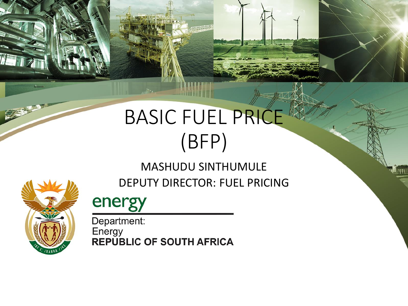# BASIC FUEL PRICE (BFP)

#### MASHUDU SINTHUMULE

DEPUTY DIRECTOR: FUEL PRICING



energy

Department: Energy<br>REPUBLIC OF SOUTH AFRICA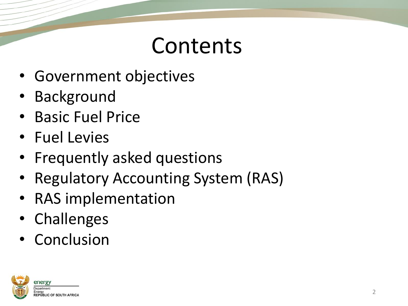#### Contents

- Government objectives
- **Background**
- Basic Fuel Price
- Fuel Levies
- Frequently asked questions
- **Regulatory Accounting System (RAS)**
- RAS implementation
- Challenges
- Conclusion

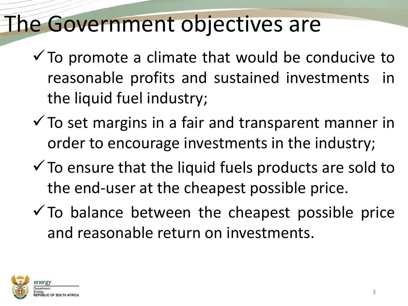#### The Government objectives are

- $\checkmark$  To promote a climate that would be conducive to reasonable profits and sustained investments in the liquid fuel industry;
- $\checkmark$  To set margins in a fair and transparent manner in order to encourage investments in the industry;
- $\checkmark$  To ensure that the liquid fuels products are sold to the end-user at the cheapest possible price.
- $\checkmark$  To balance between the cheapest possible price and reasonable return on investments.

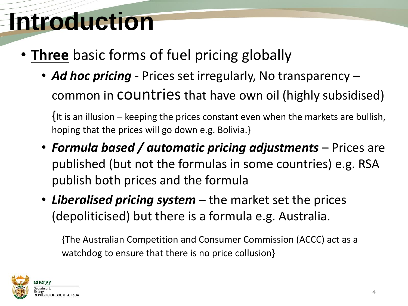# **Introduction**

- **Three** basic forms of fuel pricing globally
	- *Ad hoc pricing*  Prices set irregularly, No transparency common in COUNT ries that have own oil (highly subsidised)

{It is an illusion – keeping the prices constant even when the markets are bullish, hoping that the prices will go down e.g. Bolivia.}

- *Formula based / automatic pricing adjustments*  Prices are published (but not the formulas in some countries) e.g. RSA publish both prices and the formula
- *Liberalised pricing system*  the market set the prices (depoliticised) but there is a formula e.g. Australia.

{The Australian Competition and Consumer Commission (ACCC) act as a watchdog to ensure that there is no price collusion}

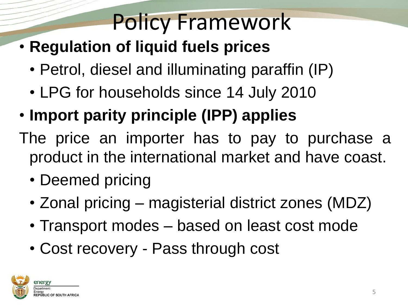#### Policy Framework

- **Regulation of liquid fuels prices**
	- Petrol, diesel and illuminating paraffin (IP)
	- LPG for households since 14 July 2010
- **Import parity principle (IPP) applies**
- The price an importer has to pay to purchase a product in the international market and have coast.
	- Deemed pricing
	- Zonal pricing magisterial district zones (MDZ)
	- Transport modes based on least cost mode
	- Cost recovery Pass through cost

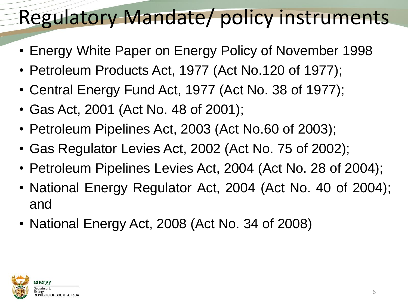#### Regulatory Mandate/ policy instruments

- Energy White Paper on Energy Policy of November 1998
- Petroleum Products Act, 1977 (Act No.120 of 1977);
- Central Energy Fund Act, 1977 (Act No. 38 of 1977);
- Gas Act, 2001 (Act No. 48 of 2001);
- Petroleum Pipelines Act, 2003 (Act No.60 of 2003);
- Gas Regulator Levies Act, 2002 (Act No. 75 of 2002);
- Petroleum Pipelines Levies Act, 2004 (Act No. 28 of 2004);
- National Energy Regulator Act, 2004 (Act No. 40 of 2004); and
- National Energy Act, 2008 (Act No. 34 of 2008)

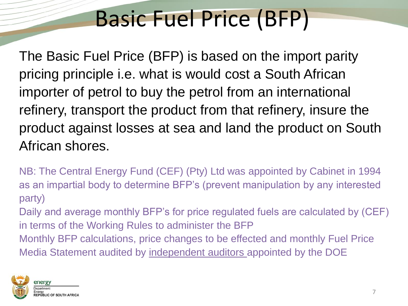#### Basic Fuel Price (BFP)

The Basic Fuel Price (BFP) is based on the import parity pricing principle i.e. what is would cost a South African importer of petrol to buy the petrol from an international refinery, transport the product from that refinery, insure the product against losses at sea and land the product on South African shores.

NB: The Central Energy Fund (CEF) (Pty) Ltd was appointed by Cabinet in 1994 as an impartial body to determine BFP's (prevent manipulation by any interested party)

Daily and average monthly BFP's for price regulated fuels are calculated by (CEF) in terms of the Working Rules to administer the BFP Monthly BFP calculations, price changes to be effected and monthly Fuel Price

Media Statement audited by independent auditors appointed by the DOE

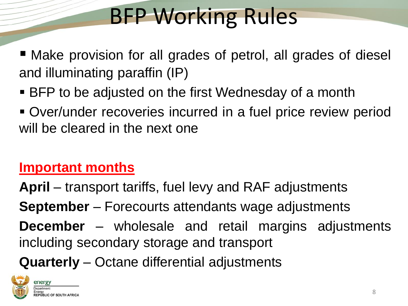# BFP Working Rules

- Make provision for all grades of petrol, all grades of diesel and illuminating paraffin (IP)
- BFP to be adjusted on the first Wednesday of a month
- Over/under recoveries incurred in a fuel price review period will be cleared in the next one

#### **Important months**

**April** – transport tariffs, fuel levy and RAF adjustments **September** – Forecourts attendants wage adjustments **December** – wholesale and retail margins adjustments including secondary storage and transport

**Quarterly** – Octane differential adjustments

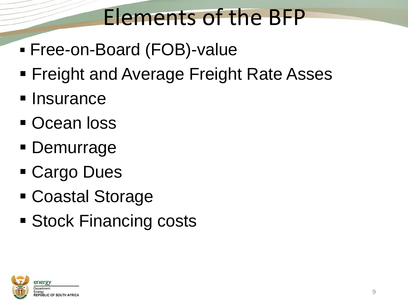## Elements of the BFP

- Free-on-Board (FOB)-value
- **Freight and Average Freight Rate Asses**
- **Insurance**
- **Ocean loss**
- **Demurrage**
- Cargo Dues
- Coastal Storage
- **Stock Financing costs**

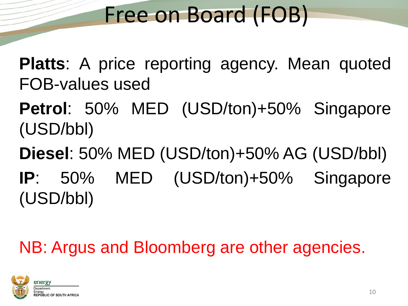#### Free on Board (FOB)

**Platts**: A price reporting agency. Mean quoted FOB-values used

**Petrol**: 50% MED (USD/ton)+50% Singapore (USD/bbl)

**Diesel**: 50% MED (USD/ton)+50% AG (USD/bbl) **IP**: 50% MED (USD/ton)+50% Singapore (USD/bbl)

NB: Argus and Bloomberg are other agencies.

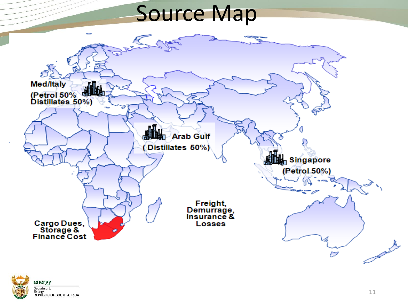#### Source Map



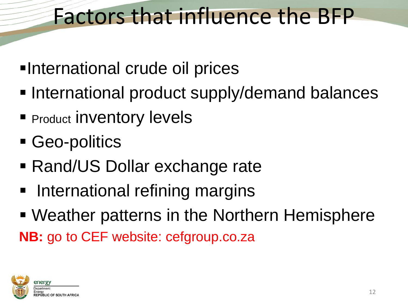#### Factors that influence the BFP

- International crude oil prices
- **International product supply/demand balances**
- **Product inventory levels**
- Geo-politics
- Rand/US Dollar exchange rate
- International refining margins
- Weather patterns in the Northern Hemisphere

**NB:** go to CEF website: cefgroup.co.za

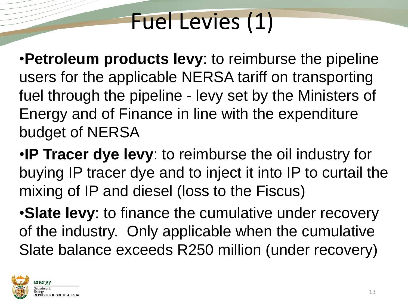# Fuel Levies (1)

•**Petroleum products levy**: to reimburse the pipeline users for the applicable NERSA tariff on transporting fuel through the pipeline - levy set by the Ministers of Energy and of Finance in line with the expenditure budget of NERSA

•**IP Tracer dye levy**: to reimburse the oil industry for buying IP tracer dye and to inject it into IP to curtail the mixing of IP and diesel (loss to the Fiscus)

•**Slate levy**: to finance the cumulative under recovery of the industry. Only applicable when the cumulative Slate balance exceeds R250 million (under recovery)

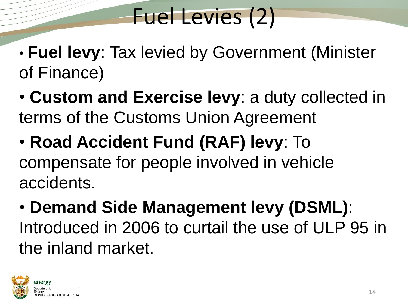## Fuel Levies (2)

- **Fuel levy**: Tax levied by Government (Minister of Finance)
- **Custom and Exercise levy**: a duty collected in terms of the Customs Union Agreement
- **Road Accident Fund (RAF) levy**: To compensate for people involved in vehicle accidents.
- **Demand Side Management levy (DSML)**: Introduced in 2006 to curtail the use of ULP 95 in the inland market.

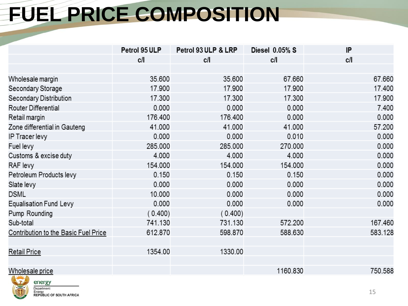#### **FUEL PRICE COMPOSITION**

|                                      | Petrol 95 ULP | Petrol 93 ULP & LRP | Diesel 0.05% S | IP      |
|--------------------------------------|---------------|---------------------|----------------|---------|
|                                      | c/l           | c/l                 | c/l            | c/l     |
|                                      |               |                     |                |         |
| Wholesale margin                     | 35.600        | 35.600              | 67.660         | 67.660  |
| Secondary Storage                    | 17.900        | 17.900              | 17.900         | 17.400  |
| Secondary Distribution               | 17.300        | 17.300              | 17.300         | 17.900  |
| Router Differential                  | 0.000         | 0.000               | 0.000          | 7.400   |
| Retail margin                        | 176.400       | 176.400             | 0.000          | 0.000   |
| Zone differential in Gauteng         | 41.000        | 41.000              | 41.000         | 57.200  |
| IP Tracer levy                       | 0.000         | 0.000               | 0.010          | 0.000   |
| Fuel levy                            | 285.000       | 285.000             | 270.000        | 0.000   |
| Customs & excise duty                | 4.000         | 4.000               | 4.000          | 0.000   |
| RAF levy                             | 154.000       | 154.000             | 154.000        | 0.000   |
| Petroleum Products levy              | 0.150         | 0.150               | 0.150          | 0.000   |
| Slate levy                           | 0.000         | 0.000               | 0.000          | 0.000   |
| <b>DSML</b>                          | 10.000        | 0.000               | 0.000          | 0.000   |
| <b>Equalisation Fund Levy</b>        | 0.000         | 0.000               | 0.000          | 0.000   |
| Pump Rounding                        | (0.400)       | (0.400)             |                |         |
| Sub-total                            | 741.130       | 731.130             | 572.200        | 167.460 |
| Contribution to the Basic Fuel Price | 612.870       | 598.870             | 588.630        | 583.128 |
|                                      |               |                     |                |         |
| <b>Retail Price</b>                  | 1354.00       | 1330.00             |                |         |
|                                      |               |                     |                |         |
| Wholesale price                      |               |                     | 1160.830       | 750.588 |

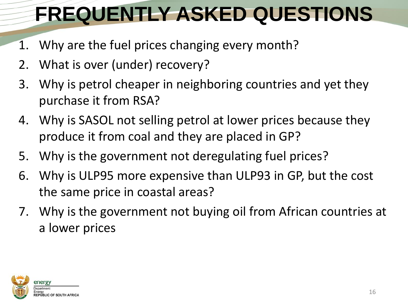### **FREQUENTLY ASKED QUESTIONS**

- 1. Why are the fuel prices changing every month?
- 2. What is over (under) recovery?
- 3. Why is petrol cheaper in neighboring countries and yet they purchase it from RSA?
- 4. Why is SASOL not selling petrol at lower prices because they produce it from coal and they are placed in GP?
- 5. Why is the government not deregulating fuel prices?
- 6. Why is ULP95 more expensive than ULP93 in GP, but the cost the same price in coastal areas?
- 7. Why is the government not buying oil from African countries at a lower prices

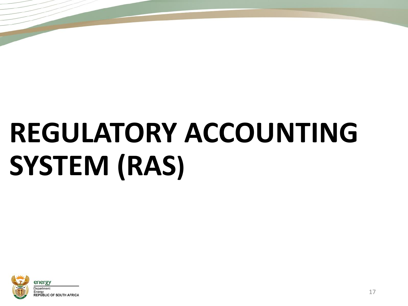# **REGULATORY ACCOUNTING SYSTEM (RAS)**

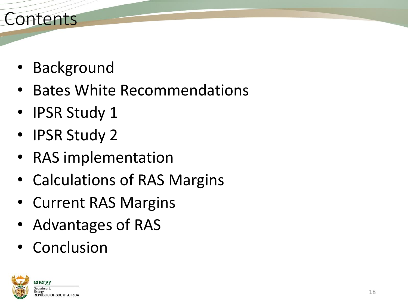#### Contents

- Background
- Bates White Recommendations
- IPSR Study 1
- IPSR Study 2
- RAS implementation
- Calculations of RAS Margins
- Current RAS Margins
- Advantages of RAS
- Conclusion

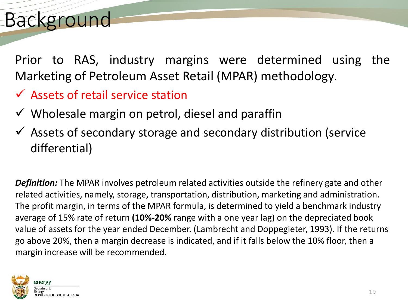#### Background

Prior to RAS, industry margins were determined using the Marketing of Petroleum Asset Retail (MPAR) methodology.

- $\checkmark$  Assets of retail service station
- $\checkmark$  Wholesale margin on petrol, diesel and paraffin
- $\checkmark$  Assets of secondary storage and secondary distribution (service differential)

*Definition:* The MPAR involves petroleum related activities outside the refinery gate and other related activities, namely, storage, transportation, distribution, marketing and administration. The profit margin, in terms of the MPAR formula, is determined to yield a benchmark industry average of 15% rate of return **(10%-20%** range with a one year lag) on the depreciated book value of assets for the year ended December. (Lambrecht and Doppegieter, 1993). If the returns go above 20%, then a margin decrease is indicated, and if it falls below the 10% floor, then a margin increase will be recommended.

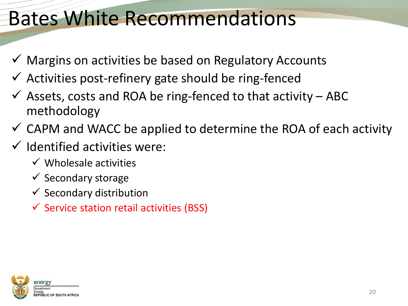#### Bates White Recommendations

- $\checkmark$  Margins on activities be based on Regulatory Accounts
- $\checkmark$  Activities post-refinery gate should be ring-fenced
- $\checkmark$  Assets, costs and ROA be ring-fenced to that activity ABC methodology
- $\checkmark$  CAPM and WACC be applied to determine the ROA of each activity
- $\checkmark$  Identified activities were:
	- $\checkmark$  Wholesale activities
	- $\checkmark$  Secondary storage
	- $\checkmark$  Secondary distribution
	- $\checkmark$  Service station retail activities (BSS)

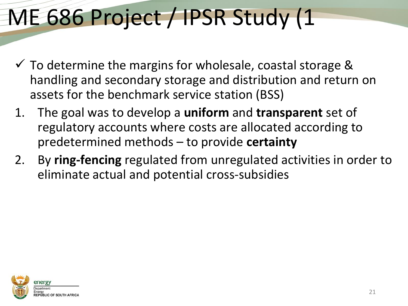# ME 686 Project / IPSR Study (1

- $\checkmark$  To determine the margins for wholesale, coastal storage & handling and secondary storage and distribution and return on assets for the benchmark service station (BSS)
- 1. The goal was to develop a **uniform** and **transparent** set of regulatory accounts where costs are allocated according to predetermined methods – to provide **certainty**
- 2. By **ring-fencing** regulated from unregulated activities in order to eliminate actual and potential cross-subsidies

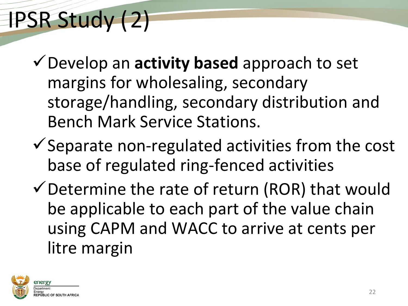# IPSR Study (2)

- Develop an **activity based** approach to set margins for wholesaling, secondary storage/handling, secondary distribution and Bench Mark Service Stations.
- $\checkmark$  Separate non-regulated activities from the cost base of regulated ring-fenced activities
- $\checkmark$  Determine the rate of return (ROR) that would be applicable to each part of the value chain using CAPM and WACC to arrive at cents per litre margin

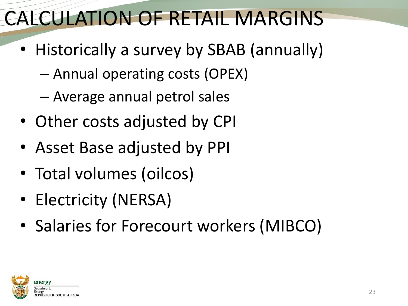#### CALCULATION OF RETAIL MARGINS

- Historically a survey by SBAB (annually)
	- Annual operating costs (OPEX)
	- Average annual petrol sales
- Other costs adjusted by CPI
- Asset Base adjusted by PPI
- Total volumes (oilcos)
- Electricity (NERSA)
- Salaries for Forecourt workers (MIBCO)

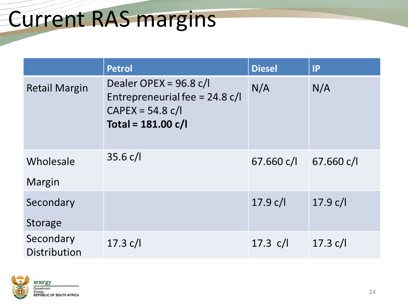#### Current RAS margins

|                           | <b>Petrol</b>                                                                                            | <b>Diesel</b> | IP         |
|---------------------------|----------------------------------------------------------------------------------------------------------|---------------|------------|
| <b>Retail Margin</b>      | Dealer OPEX = $96.8$ c/l<br>Entrepreneurial fee = $24.8$ c/l<br>$CAPEX = 54.8 c/l$<br>Total = 181.00 c/l | N/A           | N/A        |
| Wholesale                 | 35.6 c/l                                                                                                 | 67.660 c/l    | 67.660 c/l |
| Margin                    |                                                                                                          |               |            |
| Secondary                 |                                                                                                          | 17.9 c/l      | 17.9 c/l   |
| Storage                   |                                                                                                          |               |            |
| Secondary<br>Distribution | 17.3 c/l                                                                                                 | 17.3 $c/l$    | 17.3 c/l   |

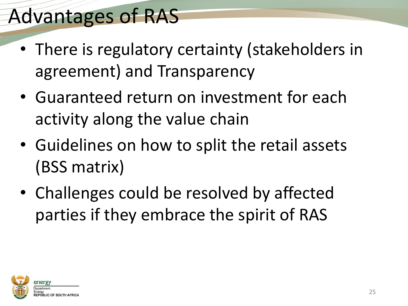#### Advantages of RAS

- There is regulatory certainty (stakeholders in agreement) and Transparency
- Guaranteed return on investment for each activity along the value chain
- Guidelines on how to split the retail assets (BSS matrix)
- Challenges could be resolved by affected parties if they embrace the spirit of RAS

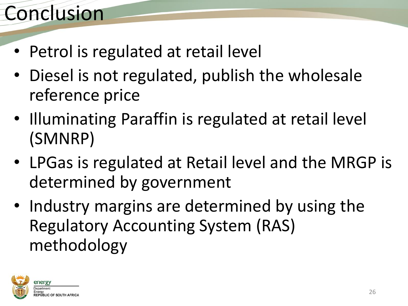#### Conclusion

- Petrol is regulated at retail level
- Diesel is not regulated, publish the wholesale reference price
- Illuminating Paraffin is regulated at retail level (SMNRP)
- LPGas is regulated at Retail level and the MRGP is determined by government
- Industry margins are determined by using the Regulatory Accounting System (RAS) methodology